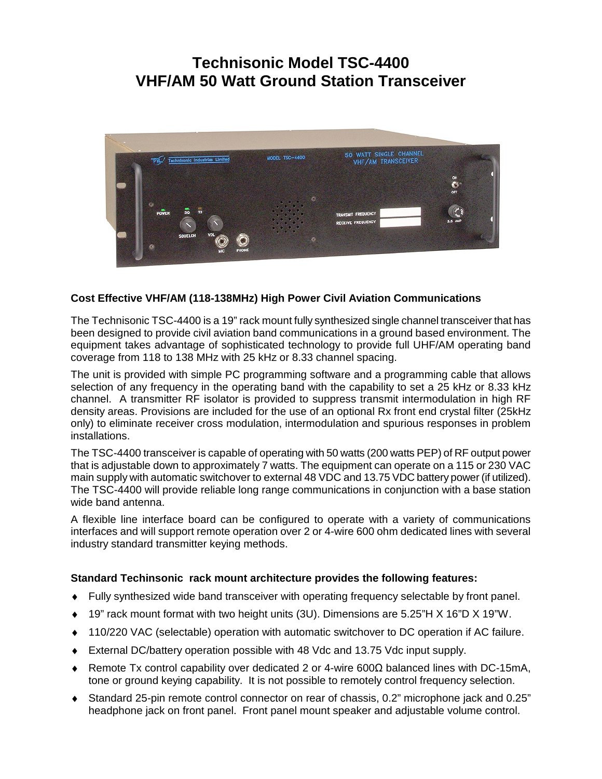# **Technisonic Model TSC-4400 VHF/AM 50 Watt Ground Station Transceiver**



### **Cost Effective VHF/AM (118-138MHz) High Power Civil Aviation Communications**

The Technisonic TSC-4400 is a 19" rack mount fully synthesized single channel transceiver that has been designed to provide civil aviation band communications in a ground based environment. The equipment takes advantage of sophisticated technology to provide full UHF/AM operating band coverage from 118 to 138 MHz with 25 kHz or 8.33 channel spacing.

The unit is provided with simple PC programming software and a programming cable that allows selection of any frequency in the operating band with the capability to set a 25 kHz or 8.33 kHz channel. A transmitter RF isolator is provided to suppress transmit intermodulation in high RF density areas. Provisions are included for the use of an optional Rx front end crystal filter (25kHz only) to eliminate receiver cross modulation, intermodulation and spurious responses in problem installations.

The TSC-4400 transceiver is capable of operating with 50 watts (200 watts PEP) of RF output power that is adjustable down to approximately 7 watts. The equipment can operate on a 115 or 230 VAC main supply with automatic switchover to external 48 VDC and 13.75 VDC battery power (if utilized). The TSC-4400 will provide reliable long range communications in conjunction with a base station wide band antenna.

A flexible line interface board can be configured to operate with a variety of communications interfaces and will support remote operation over 2 or 4-wire 600 ohm dedicated lines with several industry standard transmitter keying methods.

#### **Standard Techinsonic rack mount architecture provides the following features:**

- ♦ Fully synthesized wide band transceiver with operating frequency selectable by front panel.
- 19" rack mount format with two height units (3U). Dimensions are 5.25"H X 16"D X 19"W.
- ♦ 110/220 VAC (selectable) operation with automatic switchover to DC operation if AC failure.
- ♦ External DC/battery operation possible with 48 Vdc and 13.75 Vdc input supply.
- ♦ Remote Tx control capability over dedicated 2 or 4-wire 600Ω balanced lines with DC-15mA, tone or ground keying capability. It is not possible to remotely control frequency selection.
- ♦ Standard 25-pin remote control connector on rear of chassis, 0.2" microphone jack and 0.25" headphone jack on front panel. Front panel mount speaker and adjustable volume control.